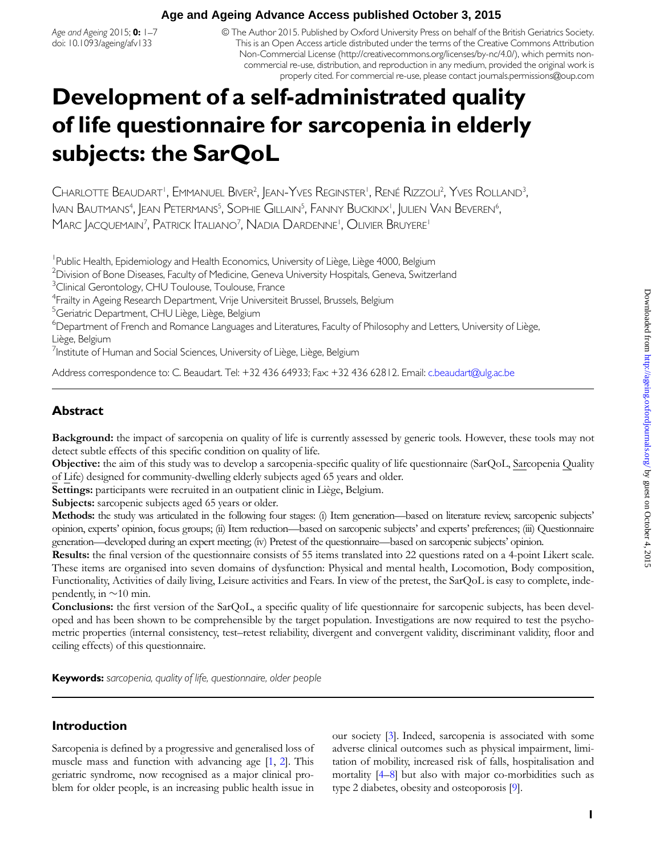# **Age and Ageing Advance Access published October 3, 2015**

Age and Ageing 2015; 0: 1-7 doi: 10.1093/ageing/afv133

© The Author 2015. Published by Oxford University Press on behalf of the British Geriatrics Society. This is an Open Access article distributed under the terms of the Creative Commons Attribution Non-Commercial License [\(http://creativecommons.org/licenses/by-nc/4.0/](http://creativecommons.org/licenses/by-nc/4.0/)), which permits noncommercial re-use, distribution, and reproduction in any medium, provided the original work is properly cited. For commercial re-use, please contact journals.permissions@oup.com

# Development of a self-administrated quality of life questionnaire for sarcopenia in elderly subjects: the SarQoL

Charlotte Beaudart', Emmanuel Biver<sup>2</sup>, Jean-Yves Reginster', René Rizzoli<sup>2</sup>, Yves Rolland<sup>3</sup> , Ivan Bautmans<sup>4</sup>, Jean Petermans<sup>5</sup>, Sophie Gillain<sup>s</sup>, Fanny Buckinx', Julien Van Beveren<sup>6</sup> , Marc Jacquemain<sup>7</sup>, Patrick Italiano<sup>7</sup>, Nadia Dardenne', Olivier Bruyere'

<sup>1</sup> Public Health, Epidemiology and Health Economics, University of Liège, Liège 4000, Belgium

<sup>2</sup> Division of Bone Diseases, Faculty of Medicine, Geneva University Hospitals, Geneva, Switzerland

<sup>3</sup> Clinical Gerontology, CHU Toulouse, Toulouse, France

4 Frailty in Ageing Research Department, Vrije Universiteit Brussel, Brussels, Belgium

<sup>5</sup> Geriatric Department, CHU Liège, Liège, Belgium

6 Department of French and Romance Languages and Literatures, Faculty of Philosophy and Letters, University of Liège, Liège, Belgium

<sup>7</sup>Institute of Human and Social Sciences, University of Liège, Liège, Belgium

Address correspondence to: C. Beaudart. Tel: +32 436 64933; Fax: +32 436 62812. Email: [c.beaudart@ulg.ac.be](mailto:c.beaudart@ulg.ac.be)

# **Abstract**

Background: the impact of sarcopenia on quality of life is currently assessed by generic tools. However, these tools may not detect subtle effects of this specific condition on quality of life.

Objective: the aim of this study was to develop a sarcopenia-specific quality of life questionnaire (SarQoL, Sarcopenia Quality of Life) designed for community-dwelling elderly subjects aged 65 years and older.

Settings: participants were recruited in an outpatient clinic in Liège, Belgium.

Subjects: sarcopenic subjects aged 65 years or older.

Methods: the study was articulated in the following four stages: (i) Item generation—based on literature review, sarcopenic subjects' opinion, experts' opinion, focus groups; (ii) Item reduction—based on sarcopenic subjects' and experts' preferences; (iii) Questionnaire generation—developed during an expert meeting; (iv) Pretest of the questionnaire—based on sarcopenic subjects' opinion.

Results: the final version of the questionnaire consists of 55 items translated into 22 questions rated on a 4-point Likert scale. These items are organised into seven domains of dysfunction: Physical and mental health, Locomotion, Body composition, Functionality, Activities of daily living, Leisure activities and Fears. In view of the pretest, the SarQoL is easy to complete, independently, in  $\sim$ 10 min.

Conclusions: the first version of the SarQoL, a specific quality of life questionnaire for sarcopenic subjects, has been developed and has been shown to be comprehensible by the target population. Investigations are now required to test the psychometric properties (internal consistency, test–retest reliability, divergent and convergent validity, discriminant validity, floor and ceiling effects) of this questionnaire.

Keywords: sarcopenia, quality of life, questionnaire, older people

# Introduction

Sarcopenia is defined by a progressive and generalised loss of muscle mass and function with advancing age [[1,](#page-5-0) [2](#page-5-0)]. This geriatric syndrome, now recognised as a major clinical problem for older people, is an increasing public health issue in

our society [[3\]](#page-5-0). Indeed, sarcopenia is associated with some adverse clinical outcomes such as physical impairment, limitation of mobility, increased risk of falls, hospitalisation and mortality [[4](#page-5-0)–[8\]](#page-5-0) but also with major co-morbidities such as type 2 diabetes, obesity and osteoporosis [\[9\]](#page-5-0).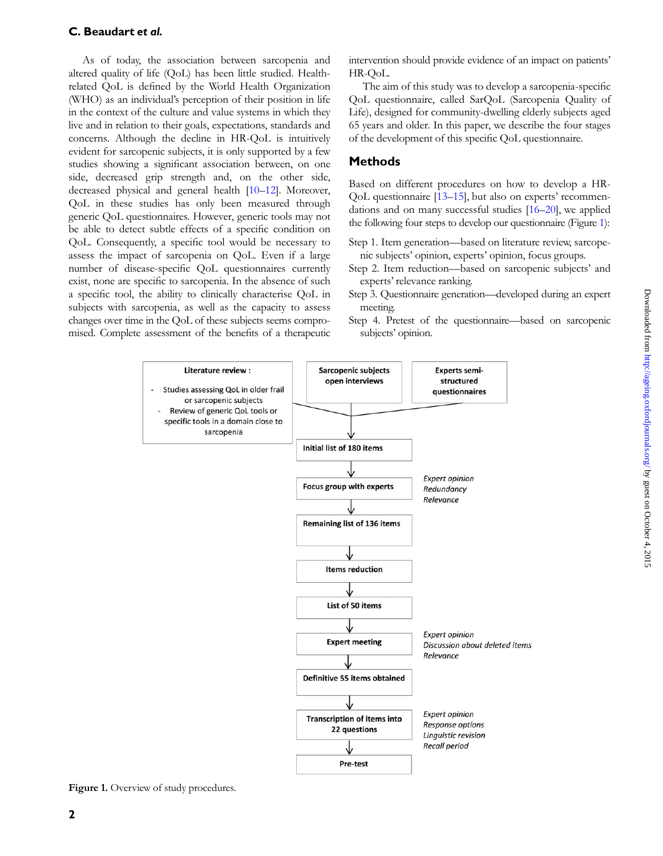# C. Beaudart et al.

As of today, the association between sarcopenia and altered quality of life (QoL) has been little studied. Healthrelated QoL is defined by the World Health Organization (WHO) as an individual's perception of their position in life in the context of the culture and value systems in which they live and in relation to their goals, expectations, standards and concerns. Although the decline in HR-QoL is intuitively evident for sarcopenic subjects, it is only supported by a few studies showing a significant association between, on one side, decreased grip strength and, on the other side, decreased physical and general health [[10](#page-5-0)–[12\]](#page-6-0). Moreover, QoL in these studies has only been measured through generic QoL questionnaires. However, generic tools may not be able to detect subtle effects of a specific condition on QoL. Consequently, a specific tool would be necessary to assess the impact of sarcopenia on QoL. Even if a large number of disease-specific QoL questionnaires currently exist, none are specific to sarcopenia. In the absence of such a specific tool, the ability to clinically characterise QoL in subjects with sarcopenia, as well as the capacity to assess changes over time in the QoL of these subjects seems compromised. Complete assessment of the benefits of a therapeutic intervention should provide evidence of an impact on patients' HR-QoL.

The aim of this study was to develop a sarcopenia-specific QoL questionnaire, called SarQoL (Sarcopenia Quality of Life), designed for community-dwelling elderly subjects aged 65 years and older. In this paper, we describe the four stages of the development of this specific QoL questionnaire.

# **Methods**

Based on different procedures on how to develop a HR-QoL questionnaire [[13](#page-6-0)–[15\]](#page-6-0), but also on experts' recommendations and on many successful studies [[16](#page-6-0)–[20](#page-6-0)], we applied the following four steps to develop our questionnaire (Figure 1):

- Step 1. Item generation—based on literature review, sarcopenic subjects' opinion, experts' opinion, focus groups.
- Step 2. Item reduction—based on sarcopenic subjects' and experts' relevance ranking.
- Step 3. Questionnaire generation—developed during an expert meeting.
- Step 4. Pretest of the questionnaire—based on sarcopenic subjects' opinion.



Figure 1. Overview of study procedures.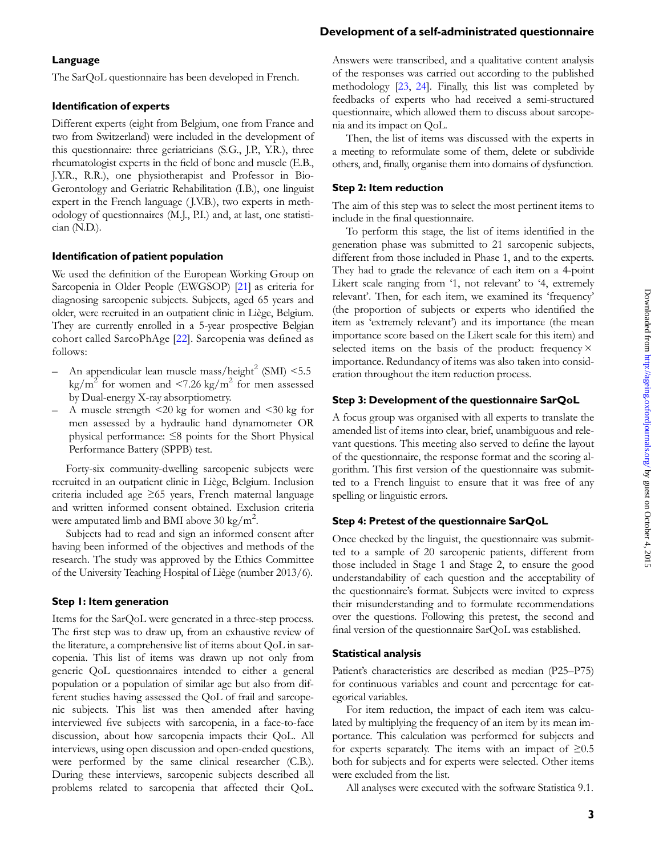# Downloaded from http://ageing.oxfordjournals.org/ by guest on October 4, 2015 Downloaded from <http://ageing.oxfordjournals.org/> by guest on October 4, 2015

# Development of a self-administrated questionnaire

# Language

The SarQoL questionnaire has been developed in French.

## Identification of experts

Different experts (eight from Belgium, one from France and two from Switzerland) were included in the development of this questionnaire: three geriatricians (S.G., J.P., Y.R.), three rheumatologist experts in the field of bone and muscle (E.B., J.Y.R., R.R.), one physiotherapist and Professor in Bio-Gerontology and Geriatric Rehabilitation (I.B.), one linguist expert in the French language (*J.V.B.*), two experts in methodology of questionnaires (M.J., P.I.) and, at last, one statistician (N.D.).

#### Identification of patient population

We used the definition of the European Working Group on Sarcopenia in Older People (EWGSOP) [[21](#page-6-0)] as criteria for diagnosing sarcopenic subjects. Subjects, aged 65 years and older, were recruited in an outpatient clinic in Liège, Belgium. They are currently enrolled in a 5-year prospective Belgian cohort called SarcoPhAge [[22](#page-6-0)]. Sarcopenia was defined as follows:

- An appendicular lean muscle mass/height<sup>2</sup> (SMI)  $<$  5.5 kg/m<sup>2</sup> for women and <7.26 kg/m<sup>2</sup> for men assessed by Dual-energy X-ray absorptiometry.
- A muscle strength <20 kg for women and <30 kg for men assessed by a hydraulic hand dynamometer OR physical performance: ≤8 points for the Short Physical Performance Battery (SPPB) test.

Forty-six community-dwelling sarcopenic subjects were recruited in an outpatient clinic in Liège, Belgium. Inclusion criteria included age ≥65 years, French maternal language and written informed consent obtained. Exclusion criteria were amputated limb and BMI above 30 kg/m<sup>2</sup>.

Subjects had to read and sign an informed consent after having been informed of the objectives and methods of the research. The study was approved by the Ethics Committee of the University Teaching Hospital of Liège (number 2013/6).

#### Step 1: Item generation

Items for the SarQoL were generated in a three-step process. The first step was to draw up, from an exhaustive review of the literature, a comprehensive list of items about QoL in sarcopenia. This list of items was drawn up not only from generic QoL questionnaires intended to either a general population or a population of similar age but also from different studies having assessed the QoL of frail and sarcopenic subjects. This list was then amended after having interviewed five subjects with sarcopenia, in a face-to-face discussion, about how sarcopenia impacts their QoL. All interviews, using open discussion and open-ended questions, were performed by the same clinical researcher (C.B.). During these interviews, sarcopenic subjects described all problems related to sarcopenia that affected their QoL.

Answers were transcribed, and a qualitative content analysis of the responses was carried out according to the published methodology [[23,](#page-6-0) [24](#page-6-0)]. Finally, this list was completed by feedbacks of experts who had received a semi-structured questionnaire, which allowed them to discuss about sarcopenia and its impact on QoL.

Then, the list of items was discussed with the experts in a meeting to reformulate some of them, delete or subdivide others, and, finally, organise them into domains of dysfunction.

## Step 2: Item reduction

The aim of this step was to select the most pertinent items to include in the final questionnaire.

To perform this stage, the list of items identified in the generation phase was submitted to 21 sarcopenic subjects, different from those included in Phase 1, and to the experts. They had to grade the relevance of each item on a 4-point Likert scale ranging from '1, not relevant' to '4, extremely relevant'. Then, for each item, we examined its 'frequency' (the proportion of subjects or experts who identified the item as 'extremely relevant') and its importance (the mean importance score based on the Likert scale for this item) and selected items on the basis of the product: frequency  $\times$ importance. Redundancy of items was also taken into consideration throughout the item reduction process.

## Step 3: Development of the questionnaire SarQoL

A focus group was organised with all experts to translate the amended list of items into clear, brief, unambiguous and relevant questions. This meeting also served to define the layout of the questionnaire, the response format and the scoring algorithm. This first version of the questionnaire was submitted to a French linguist to ensure that it was free of any spelling or linguistic errors.

#### Step 4: Pretest of the questionnaire SarQoL

Once checked by the linguist, the questionnaire was submitted to a sample of 20 sarcopenic patients, different from those included in Stage 1 and Stage 2, to ensure the good understandability of each question and the acceptability of the questionnaire's format. Subjects were invited to express their misunderstanding and to formulate recommendations over the questions. Following this pretest, the second and final version of the questionnaire SarQoL was established.

#### Statistical analysis

Patient's characteristics are described as median (P25–P75) for continuous variables and count and percentage for categorical variables.

For item reduction, the impact of each item was calculated by multiplying the frequency of an item by its mean importance. This calculation was performed for subjects and for experts separately. The items with an impact of  $\geq 0.5$ both for subjects and for experts were selected. Other items were excluded from the list.

All analyses were executed with the software Statistica 9.1.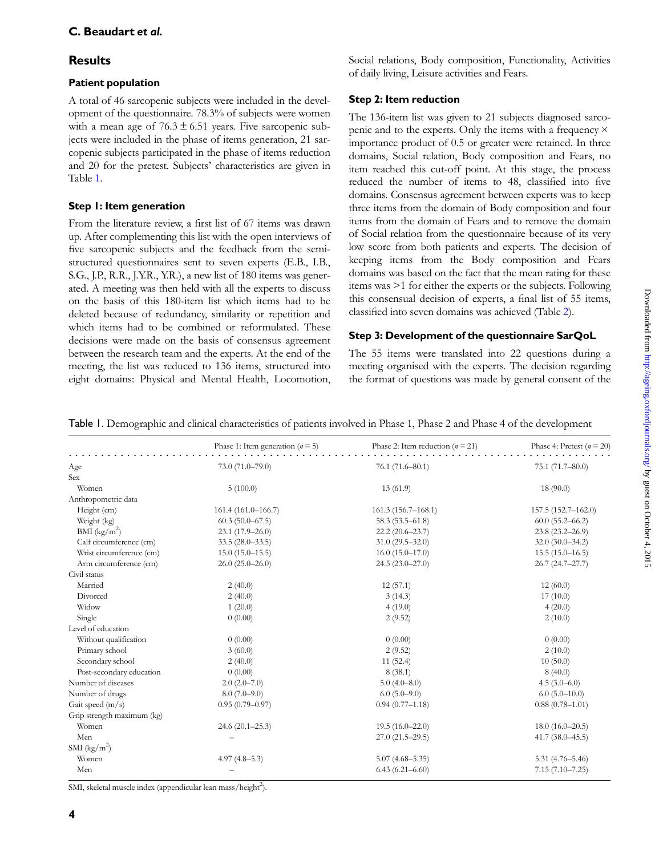# **Results**

# Patient population

A total of 46 sarcopenic subjects were included in the development of the questionnaire. 78.3% of subjects were women with a mean age of  $76.3 \pm 6.51$  years. Five sarcopenic subjects were included in the phase of items generation, 21 sarcopenic subjects participated in the phase of items reduction and 20 for the pretest. Subjects' characteristics are given in Table 1.

# Step 1: Item generation

From the literature review, a first list of 67 items was drawn up. After complementing this list with the open interviews of five sarcopenic subjects and the feedback from the semistructured questionnaires sent to seven experts (E.B., I.B., S.G., J.P., R.R., J.Y.R., Y.R.), a new list of 180 items was generated. A meeting was then held with all the experts to discuss on the basis of this 180-item list which items had to be deleted because of redundancy, similarity or repetition and which items had to be combined or reformulated. These decisions were made on the basis of consensus agreement between the research team and the experts. At the end of the meeting, the list was reduced to 136 items, structured into eight domains: Physical and Mental Health, Locomotion, Social relations, Body composition, Functionality, Activities of daily living, Leisure activities and Fears.

# Step 2: Item reduction

The 136-item list was given to 21 subjects diagnosed sarcopenic and to the experts. Only the items with a frequency × importance product of 0.5 or greater were retained. In three domains, Social relation, Body composition and Fears, no item reached this cut-off point. At this stage, the process reduced the number of items to 48, classified into five domains. Consensus agreement between experts was to keep three items from the domain of Body composition and four items from the domain of Fears and to remove the domain of Social relation from the questionnaire because of its very low score from both patients and experts. The decision of keeping items from the Body composition and Fears domains was based on the fact that the mean rating for these items was >1 for either the experts or the subjects. Following this consensual decision of experts, a final list of 55 items, classified into seven domains was achieved (Table [2](#page-4-0)).

# Step 3: Development of the questionnaire SarQoL

The 55 items were translated into 22 questions during a meeting organised with the experts. The decision regarding the format of questions was made by general consent of the

Table 1. Demographic and clinical characteristics of patients involved in Phase 1, Phase 2 and Phase 4 of the development

|                            | Phase 1: Item generation ( $n = 5$ ) | Phase 2: Item reduction ( $n = 21$ ) | Phase 4: Pretest ( $n = 20$ ) |
|----------------------------|--------------------------------------|--------------------------------------|-------------------------------|
| Age                        | 73.0 (71.0-79.0)                     | $76.1(71.6 - 80.1)$                  | 75.1 (71.7-80.0)              |
| Sex                        |                                      |                                      |                               |
| Women                      | 5(100.0)                             | 13(61.9)                             | 18 (90.0)                     |
| Anthropometric data        |                                      |                                      |                               |
| Height (cm)                | 161.4 (161.0-166.7)                  | 161.3 (156.7-168.1)                  | 157.5 (152.7-162.0)           |
| Weight (kg)                | $60.3(50.0 - 67.5)$                  | $58.3(53.5 - 61.8)$                  | $60.0(55.2 - 66.2)$           |
| $BMI$ (kg/m <sup>2</sup> ) | $23.1(17.9 - 26.0)$                  | $22.2(20.6 - 23.7)$                  | 23.8 (23.2-26.9)              |
| Calf circumference (cm)    | $33.5(28.0 - 33.5)$                  | $31.0(29.5 - 32.0)$                  | $32.0(30.0 - 34.2)$           |
| Wrist circumference (cm)   | $15.0(15.0 - 15.5)$                  | $16.0(15.0-17.0)$                    | $15.5(15.0-16.5)$             |
| Arm circumference (cm)     | $26.0(25.0-26.0)$                    | $24.5(23.0 - 27.0)$                  | 26.7 (24.7-27.7)              |
| Civil status               |                                      |                                      |                               |
| Married                    | 2(40.0)                              | 12(57.1)                             | 12(60.0)                      |
| Divorced                   | 2(40.0)                              | 3(14.3)                              | 17(10.0)                      |
| Widow                      | 1(20.0)                              | 4(19.0)                              | 4(20.0)                       |
| Single                     | 0(0.00)                              | 2(9.52)                              | 2(10.0)                       |
| Level of education         |                                      |                                      |                               |
| Without qualification      | 0(0.00)                              | 0(0.00)                              | 0(0.00)                       |
| Primary school             | 3(60.0)                              | 2(9.52)                              | 2(10.0)                       |
| Secondary school           | 2(40.0)                              | 11(52.4)                             | 10(50.0)                      |
| Post-secondary education   | 0(0.00)                              | 8(38.1)                              | 8(40.0)                       |
| Number of diseases         | $2.0(2.0-7.0)$                       | $5.0(4.0 - 8.0)$                     | $4.5(3.0-6.0)$                |
| Number of drugs            | $8.0(7.0-9.0)$                       | $6.0(5.0-9.0)$                       | $6.0(5.0-10.0)$               |
| Gait speed (m/s)           | $0.95(0.79 - 0.97)$                  | $0.94(0.77 - 1.18)$                  | $0.88(0.78 - 1.01)$           |
| Grip strength maximum (kg) |                                      |                                      |                               |
| Women                      | 24.6 (20.1-25.3)                     | $19.5(16.0 - 22.0)$                  | $18.0(16.0-20.5)$             |
| Men                        |                                      | $27.0(21.5 - 29.5)$                  | $41.7(38.0 - 45.5)$           |
| SMI $(kg/m^2)$             |                                      |                                      |                               |
| Women                      | $4.97(4.8-5.3)$                      | $5.07(4.68 - 5.35)$                  | $5.31(4.76 - 5.46)$           |
| Men                        |                                      | $6.43(6.21 - 6.60)$                  | $7.15(7.10 - 7.25)$           |

SMI, skeletal muscle index (appendicular lean mass/height<sup>2</sup>).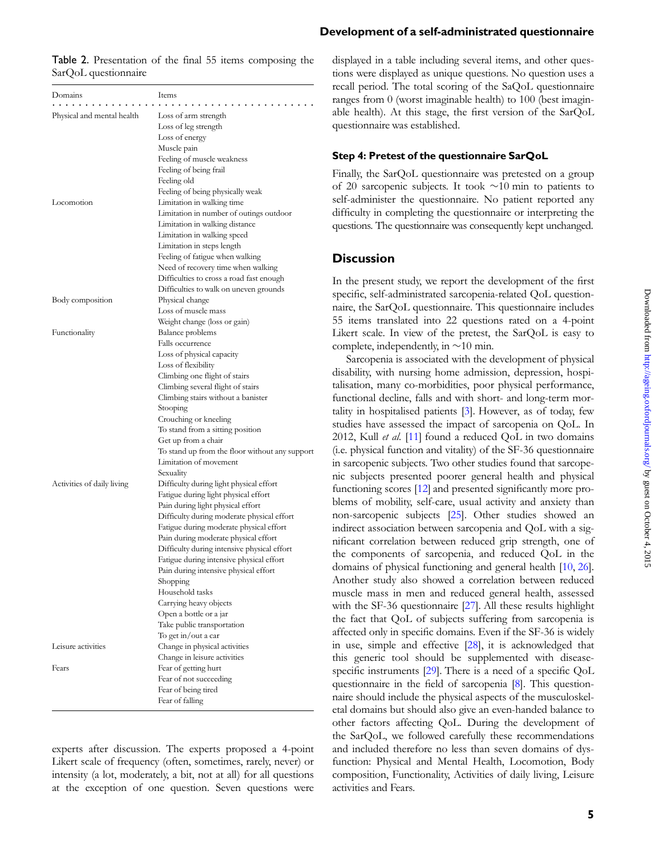| Domains                    | Items                                                         |  |  |
|----------------------------|---------------------------------------------------------------|--|--|
| Physical and mental health | Loss of arm strength                                          |  |  |
|                            | Loss of leg strength                                          |  |  |
|                            | Loss of energy                                                |  |  |
|                            | Muscle pain                                                   |  |  |
|                            | Feeling of muscle weakness                                    |  |  |
|                            | Feeling of being frail                                        |  |  |
|                            | Feeling old                                                   |  |  |
|                            | Feeling of being physically weak                              |  |  |
| Locomotion                 | Limitation in walking time                                    |  |  |
|                            | Limitation in number of outings outdoor                       |  |  |
|                            | Limitation in walking distance                                |  |  |
|                            | Limitation in walking speed                                   |  |  |
|                            | Limitation in steps length                                    |  |  |
|                            | Feeling of fatigue when walking                               |  |  |
|                            | Need of recovery time when walking                            |  |  |
|                            | Difficulties to cross a road fast enough                      |  |  |
|                            | Difficulties to walk on uneven grounds                        |  |  |
| Body composition           | Physical change                                               |  |  |
|                            | Loss of muscle mass                                           |  |  |
|                            | Weight change (loss or gain)                                  |  |  |
| Functionality              | <b>Balance</b> problems                                       |  |  |
|                            | Falls occurrence                                              |  |  |
|                            | Loss of physical capacity                                     |  |  |
|                            | Loss of flexibility<br>Climbing one flight of stairs          |  |  |
|                            | Climbing several flight of stairs                             |  |  |
|                            | Climbing stairs without a banister                            |  |  |
|                            | Stooping                                                      |  |  |
|                            | Crouching or kneeling                                         |  |  |
|                            | To stand from a sitting position                              |  |  |
|                            | Get up from a chair                                           |  |  |
|                            | To stand up from the floor without any support                |  |  |
|                            | Limitation of movement                                        |  |  |
|                            | Sexuality                                                     |  |  |
| Activities of daily living | Difficulty during light physical effort                       |  |  |
|                            | Fatigue during light physical effort                          |  |  |
|                            | Pain during light physical effort                             |  |  |
|                            | Difficulty during moderate physical effort                    |  |  |
|                            | Fatigue during moderate physical effort                       |  |  |
|                            | Pain during moderate physical effort                          |  |  |
|                            | Difficulty during intensive physical effort                   |  |  |
|                            | Fatigue during intensive physical effort                      |  |  |
|                            | Pain during intensive physical effort                         |  |  |
|                            | Shopping                                                      |  |  |
|                            | Household tasks                                               |  |  |
|                            | Carrying heavy objects                                        |  |  |
|                            | Open a bottle or a jar                                        |  |  |
|                            | Take public transportation                                    |  |  |
| Leisure activities         | To get in/out a car                                           |  |  |
|                            | Change in physical activities<br>Change in leisure activities |  |  |
| Fears                      | Fear of getting hurt                                          |  |  |
|                            | Fear of not succeeding                                        |  |  |
|                            | Fear of being tired                                           |  |  |
|                            | Fear of falling                                               |  |  |
|                            |                                                               |  |  |

<span id="page-4-0"></span>Table 2. Presentation of the final 55 items composing the

SarQoL questionnaire

experts after discussion. The experts proposed a 4-point Likert scale of frequency (often, sometimes, rarely, never) or intensity (a lot, moderately, a bit, not at all) for all questions at the exception of one question. Seven questions were

#### Development of a self-administrated questionnaire

displayed in a table including several items, and other questions were displayed as unique questions. No question uses a recall period. The total scoring of the SaQoL questionnaire ranges from 0 (worst imaginable health) to 100 (best imaginable health). At this stage, the first version of the SarQoL questionnaire was established.

#### Step 4: Pretest of the questionnaire SarQoL

Finally, the SarQoL questionnaire was pretested on a group of 20 sarcopenic subjects. It took  $\sim$  10 min to patients to self-administer the questionnaire. No patient reported any difficulty in completing the questionnaire or interpreting the questions. The questionnaire was consequently kept unchanged.

# **Discussion**

In the present study, we report the development of the first specific, self-administrated sarcopenia-related QoL questionnaire, the SarQoL questionnaire. This questionnaire includes 55 items translated into 22 questions rated on a 4-point Likert scale. In view of the pretest, the SarQoL is easy to complete, independently, in  $\sim$ 10 min.

Sarcopenia is associated with the development of physical disability, with nursing home admission, depression, hospitalisation, many co-morbidities, poor physical performance, functional decline, falls and with short- and long-term mortality in hospitalised patients [\[3](#page-5-0)]. However, as of today, few studies have assessed the impact of sarcopenia on QoL. In 2012, Kull et al. [\[11](#page-5-0)] found a reduced QoL in two domains (i.e. physical function and vitality) of the SF-36 questionnaire in sarcopenic subjects. Two other studies found that sarcopenic subjects presented poorer general health and physical functioning scores [[12](#page-6-0)] and presented significantly more problems of mobility, self-care, usual activity and anxiety than non-sarcopenic subjects [\[25](#page-6-0)]. Other studies showed an indirect association between sarcopenia and QoL with a significant correlation between reduced grip strength, one of the components of sarcopenia, and reduced QoL in the domains of physical functioning and general health [[10](#page-5-0), [26\]](#page-6-0). Another study also showed a correlation between reduced muscle mass in men and reduced general health, assessed with the SF-36 questionnaire [[27](#page-6-0)]. All these results highlight the fact that QoL of subjects suffering from sarcopenia is affected only in specific domains. Even if the SF-36 is widely in use, simple and effective [[28\]](#page-6-0), it is acknowledged that this generic tool should be supplemented with diseasespecific instruments [[29](#page-6-0)]. There is a need of a specific QoL questionnaire in the field of sarcopenia [[8\]](#page-5-0). This questionnaire should include the physical aspects of the musculoskeletal domains but should also give an even-handed balance to other factors affecting QoL. During the development of the SarQoL, we followed carefully these recommendations and included therefore no less than seven domains of dysfunction: Physical and Mental Health, Locomotion, Body composition, Functionality, Activities of daily living, Leisure activities and Fears.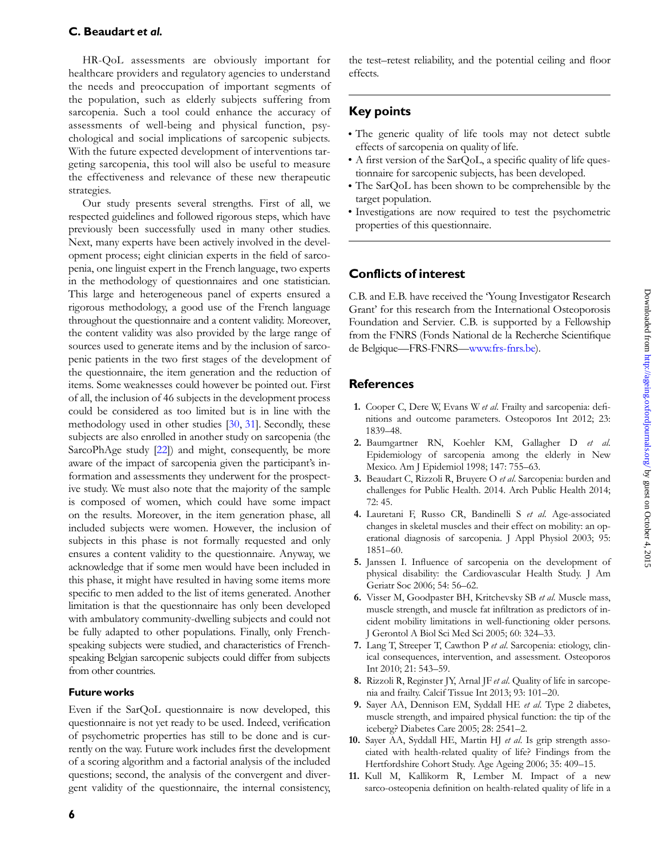<span id="page-5-0"></span>HR-QoL assessments are obviously important for healthcare providers and regulatory agencies to understand the needs and preoccupation of important segments of the population, such as elderly subjects suffering from sarcopenia. Such a tool could enhance the accuracy of assessments of well-being and physical function, psychological and social implications of sarcopenic subjects. With the future expected development of interventions targeting sarcopenia, this tool will also be useful to measure the effectiveness and relevance of these new therapeutic strategies.

Our study presents several strengths. First of all, we respected guidelines and followed rigorous steps, which have previously been successfully used in many other studies. Next, many experts have been actively involved in the development process; eight clinician experts in the field of sarcopenia, one linguist expert in the French language, two experts in the methodology of questionnaires and one statistician. This large and heterogeneous panel of experts ensured a rigorous methodology, a good use of the French language throughout the questionnaire and a content validity. Moreover, the content validity was also provided by the large range of sources used to generate items and by the inclusion of sarcopenic patients in the two first stages of the development of the questionnaire, the item generation and the reduction of items. Some weaknesses could however be pointed out. First of all, the inclusion of 46 subjects in the development process could be considered as too limited but is in line with the methodology used in other studies [\[30](#page-6-0), [31](#page-6-0)]. Secondly, these subjects are also enrolled in another study on sarcopenia (the SarcoPhAge study [[22\]](#page-6-0)) and might, consequently, be more aware of the impact of sarcopenia given the participant's information and assessments they underwent for the prospective study. We must also note that the majority of the sample is composed of women, which could have some impact on the results. Moreover, in the item generation phase, all included subjects were women. However, the inclusion of subjects in this phase is not formally requested and only ensures a content validity to the questionnaire. Anyway, we acknowledge that if some men would have been included in this phase, it might have resulted in having some items more specific to men added to the list of items generated. Another limitation is that the questionnaire has only been developed with ambulatory community-dwelling subjects and could not be fully adapted to other populations. Finally, only Frenchspeaking subjects were studied, and characteristics of Frenchspeaking Belgian sarcopenic subjects could differ from subjects from other countries.

# Future works

Even if the SarQoL questionnaire is now developed, this questionnaire is not yet ready to be used. Indeed, verification of psychometric properties has still to be done and is currently on the way. Future work includes first the development of a scoring algorithm and a factorial analysis of the included questions; second, the analysis of the convergent and divergent validity of the questionnaire, the internal consistency, the test–retest reliability, and the potential ceiling and floor effects.

# Key points

- The generic quality of life tools may not detect subtle effects of sarcopenia on quality of life.
- A first version of the SarQoL, a specific quality of life questionnaire for sarcopenic subjects, has been developed.
- The SarQoL has been shown to be comprehensible by the target population.
- Investigations are now required to test the psychometric properties of this questionnaire.

# Conflicts of interest

C.B. and E.B. have received the 'Young Investigator Research Grant' for this research from the International Osteoporosis Foundation and Servier. C.B. is supported by a Fellowship from the FNRS (Fonds National de la Recherche Scientifique de Belgique—FRS-FNRS—[www.frs-fnrs.be\)](http://www.frs-fnrs.be).

# **References**

- 1. Cooper C, Dere W, Evans W et al. Frailty and sarcopenia: definitions and outcome parameters. Osteoporos Int 2012; 23: 1839–48.
- 2. Baumgartner RN, Koehler KM, Gallagher D et al. Epidemiology of sarcopenia among the elderly in New Mexico. Am J Epidemiol 1998; 147: 755–63.
- 3. Beaudart C, Rizzoli R, Bruyere O et al. Sarcopenia: burden and challenges for Public Health. 2014. Arch Public Health 2014; 72: 45.
- 4. Lauretani F, Russo CR, Bandinelli S et al. Age-associated changes in skeletal muscles and their effect on mobility: an operational diagnosis of sarcopenia. J Appl Physiol 2003; 95: 1851–60.
- 5. Janssen I. Influence of sarcopenia on the development of physical disability: the Cardiovascular Health Study. J Am Geriatr Soc 2006; 54: 56–62.
- 6. Visser M, Goodpaster BH, Kritchevsky SB et al. Muscle mass, muscle strength, and muscle fat infiltration as predictors of incident mobility limitations in well-functioning older persons. J Gerontol A Biol Sci Med Sci 2005; 60: 324–33.
- 7. Lang T, Streeper T, Cawthon P et al. Sarcopenia: etiology, clinical consequences, intervention, and assessment. Osteoporos Int 2010; 21: 543–59.
- 8. Rizzoli R, Reginster JY, Arnal JF et al. Quality of life in sarcopenia and frailty. Calcif Tissue Int 2013; 93: 101–20.
- 9. Sayer AA, Dennison EM, Syddall HE et al. Type 2 diabetes, muscle strength, and impaired physical function: the tip of the iceberg? Diabetes Care 2005; 28: 2541–2.
- 10. Sayer AA, Syddall HE, Martin HJ et al. Is grip strength associated with health-related quality of life? Findings from the Hertfordshire Cohort Study. Age Ageing 2006; 35: 409–15.
- 11. Kull M, Kallikorm R, Lember M. Impact of a new sarco-osteopenia definition on health-related quality of life in a